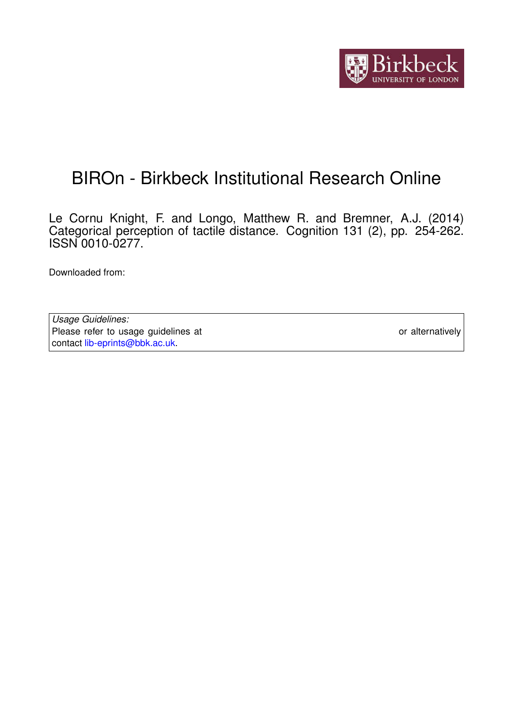

# BIROn - Birkbeck Institutional Research Online

Le Cornu Knight, F. and Longo, Matthew R. and Bremner, A.J. (2014) Categorical perception of tactile distance. Cognition 131 (2), pp. 254-262. ISSN 0010-0277.

Downloaded from: <https://eprints.bbk.ac.uk/id/eprint/9090/>

*Usage Guidelines:* Please refer to usage guidelines at <https://eprints.bbk.ac.uk/policies.html> or alternatively contact [lib-eprints@bbk.ac.uk.](mailto:lib-eprints@bbk.ac.uk)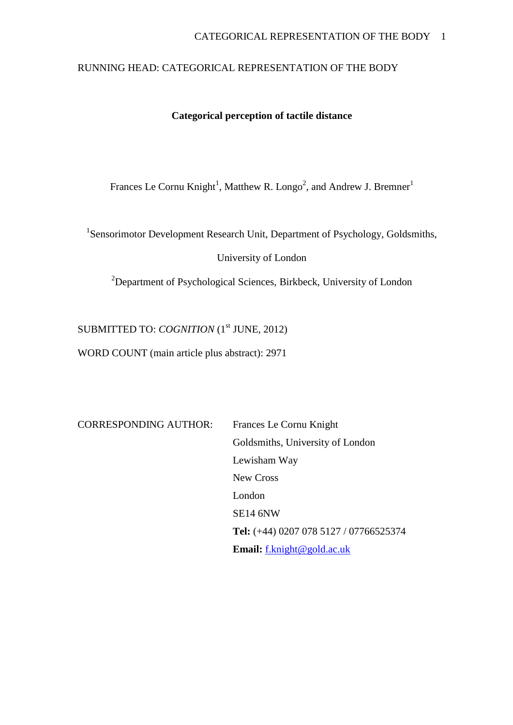# RUNNING HEAD: CATEGORICAL REPRESENTATION OF THE BODY

# **Categorical perception of tactile distance**

Frances Le Cornu Knight<sup>1</sup>, Matthew R. Longo<sup>2</sup>, and Andrew J. Bremner<sup>1</sup>

<sup>1</sup>Sensorimotor Development Research Unit, Department of Psychology, Goldsmiths,

University of London

<sup>2</sup>Department of Psychological Sciences, Birkbeck, University of London

SUBMITTED TO: *COGNITION* (1<sup>st</sup> JUNE, 2012)

WORD COUNT (main article plus abstract): 2971

CORRESPONDING AUTHOR: Frances Le Cornu Knight Goldsmiths, University of London Lewisham Way New Cross London SE14 6NW **Tel:** (+44) 0207 078 5127 / 07766525374 **Email:** [f.knight@gold.ac.uk](mailto:f.knight@gold.ac.uk)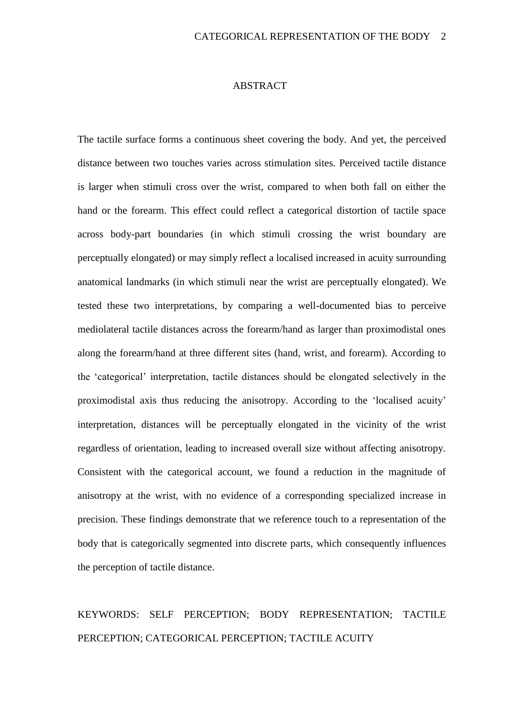#### ABSTRACT

The tactile surface forms a continuous sheet covering the body. And yet, the perceived distance between two touches varies across stimulation sites. Perceived tactile distance is larger when stimuli cross over the wrist, compared to when both fall on either the hand or the forearm. This effect could reflect a categorical distortion of tactile space across body-part boundaries (in which stimuli crossing the wrist boundary are perceptually elongated) or may simply reflect a localised increased in acuity surrounding anatomical landmarks (in which stimuli near the wrist are perceptually elongated). We tested these two interpretations, by comparing a well-documented bias to perceive mediolateral tactile distances across the forearm/hand as larger than proximodistal ones along the forearm/hand at three different sites (hand, wrist, and forearm). According to the 'categorical' interpretation, tactile distances should be elongated selectively in the proximodistal axis thus reducing the anisotropy. According to the 'localised acuity' interpretation, distances will be perceptually elongated in the vicinity of the wrist regardless of orientation, leading to increased overall size without affecting anisotropy. Consistent with the categorical account, we found a reduction in the magnitude of anisotropy at the wrist, with no evidence of a corresponding specialized increase in precision. These findings demonstrate that we reference touch to a representation of the body that is categorically segmented into discrete parts, which consequently influences the perception of tactile distance.

# KEYWORDS: SELF PERCEPTION; BODY REPRESENTATION; TACTILE PERCEPTION; CATEGORICAL PERCEPTION; TACTILE ACUITY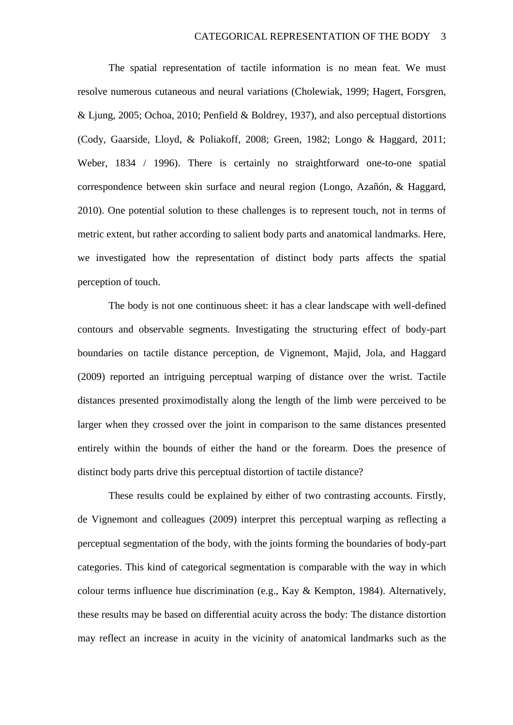The spatial representation of tactile information is no mean feat. We must resolve numerous cutaneous and neural variations (Cholewiak, 1999; Hagert, Forsgren, & Ljung, 2005; Ochoa, 2010; Penfield & Boldrey, 1937), and also perceptual distortions (Cody, Gaarside, Lloyd, & Poliakoff*,* 2008; Green, 1982; Longo & Haggard, 2011; Weber, 1834 / 1996). There is certainly no straightforward one-to-one spatial correspondence between skin surface and neural region (Longo, Azañón, & Haggard, 2010). One potential solution to these challenges is to represent touch, not in terms of metric extent, but rather according to salient body parts and anatomical landmarks. Here, we investigated how the representation of distinct body parts affects the spatial perception of touch.

The body is not one continuous sheet: it has a clear landscape with well-defined contours and observable segments. Investigating the structuring effect of body-part boundaries on tactile distance perception, de Vignemont, Majid, Jola, and Haggard (2009) reported an intriguing perceptual warping of distance over the wrist. Tactile distances presented proximodistally along the length of the limb were perceived to be larger when they crossed over the joint in comparison to the same distances presented entirely within the bounds of either the hand or the forearm. Does the presence of distinct body parts drive this perceptual distortion of tactile distance?

These results could be explained by either of two contrasting accounts. Firstly, de Vignemont and colleagues (2009) interpret this perceptual warping as reflecting a perceptual segmentation of the body, with the joints forming the boundaries of body-part categories. This kind of categorical segmentation is comparable with the way in which colour terms influence hue discrimination (e.g., Kay & Kempton, 1984). Alternatively, these results may be based on differential acuity across the body: The distance distortion may reflect an increase in acuity in the vicinity of anatomical landmarks such as the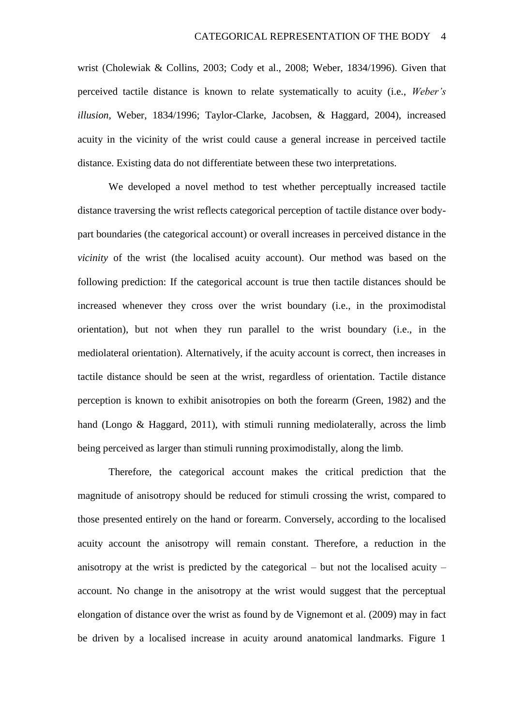wrist (Cholewiak & Collins, 2003; Cody et al., 2008; Weber, 1834/1996). Given that perceived tactile distance is known to relate systematically to acuity (i.e., *Weber's illusion*, Weber, 1834/1996; Taylor-Clarke, Jacobsen, & Haggard, 2004), increased acuity in the vicinity of the wrist could cause a general increase in perceived tactile distance. Existing data do not differentiate between these two interpretations.

We developed a novel method to test whether perceptually increased tactile distance traversing the wrist reflects categorical perception of tactile distance over bodypart boundaries (the categorical account) or overall increases in perceived distance in the *vicinity* of the wrist (the localised acuity account). Our method was based on the following prediction: If the categorical account is true then tactile distances should be increased whenever they cross over the wrist boundary (i.e., in the proximodistal orientation), but not when they run parallel to the wrist boundary (i.e., in the mediolateral orientation). Alternatively, if the acuity account is correct, then increases in tactile distance should be seen at the wrist, regardless of orientation. Tactile distance perception is known to exhibit anisotropies on both the forearm (Green, 1982) and the hand (Longo & Haggard, 2011), with stimuli running mediolaterally, across the limb being perceived as larger than stimuli running proximodistally, along the limb.

Therefore, the categorical account makes the critical prediction that the magnitude of anisotropy should be reduced for stimuli crossing the wrist, compared to those presented entirely on the hand or forearm. Conversely, according to the localised acuity account the anisotropy will remain constant. Therefore, a reduction in the anisotropy at the wrist is predicted by the categorical – but not the localised acuity – account. No change in the anisotropy at the wrist would suggest that the perceptual elongation of distance over the wrist as found by de Vignemont et al. (2009) may in fact be driven by a localised increase in acuity around anatomical landmarks. Figure 1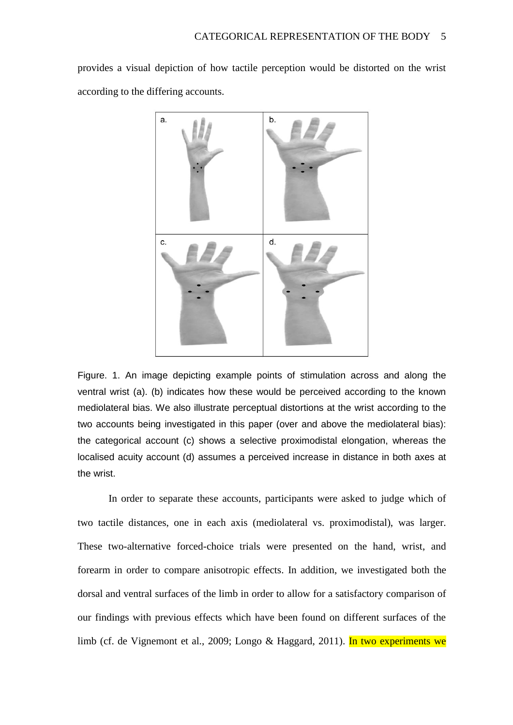provides a visual depiction of how tactile perception would be distorted on the wrist according to the differing accounts.



Figure. 1. An image depicting example points of stimulation across and along the ventral wrist (a). (b) indicates how these would be perceived according to the known mediolateral bias. We also illustrate perceptual distortions at the wrist according to the two accounts being investigated in this paper (over and above the mediolateral bias): the categorical account (c) shows a selective proximodistal elongation, whereas the localised acuity account (d) assumes a perceived increase in distance in both axes at the wrist.

In order to separate these accounts, participants were asked to judge which of two tactile distances, one in each axis (mediolateral vs. proximodistal), was larger. These two-alternative forced-choice trials were presented on the hand, wrist, and forearm in order to compare anisotropic effects. In addition, we investigated both the dorsal and ventral surfaces of the limb in order to allow for a satisfactory comparison of our findings with previous effects which have been found on different surfaces of the limb (cf. de Vignemont et al., 2009; Longo & Haggard, 2011). In two experiments we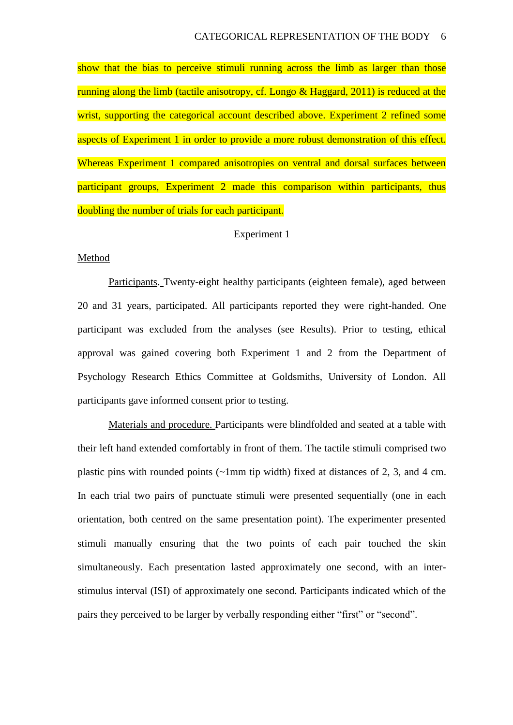show that the bias to perceive stimuli running across the limb as larger than those running along the limb (tactile anisotropy, cf. Longo & Haggard, 2011) is reduced at the wrist, supporting the categorical account described above. Experiment 2 refined some aspects of Experiment 1 in order to provide a more robust demonstration of this effect. Whereas Experiment 1 compared anisotropies on ventral and dorsal surfaces between participant groups, Experiment 2 made this comparison within participants, thus doubling the number of trials for each participant.

#### Experiment 1

#### Method

Participants. Twenty-eight healthy participants (eighteen female), aged between 20 and 31 years, participated. All participants reported they were right-handed. One participant was excluded from the analyses (see Results). Prior to testing, ethical approval was gained covering both Experiment 1 and 2 from the Department of Psychology Research Ethics Committee at Goldsmiths, University of London. All participants gave informed consent prior to testing.

Materials and procedure. Participants were blindfolded and seated at a table with their left hand extended comfortably in front of them. The tactile stimuli comprised two plastic pins with rounded points (~1mm tip width) fixed at distances of 2, 3, and 4 cm. In each trial two pairs of punctuate stimuli were presented sequentially (one in each orientation, both centred on the same presentation point). The experimenter presented stimuli manually ensuring that the two points of each pair touched the skin simultaneously. Each presentation lasted approximately one second, with an interstimulus interval (ISI) of approximately one second. Participants indicated which of the pairs they perceived to be larger by verbally responding either "first" or "second".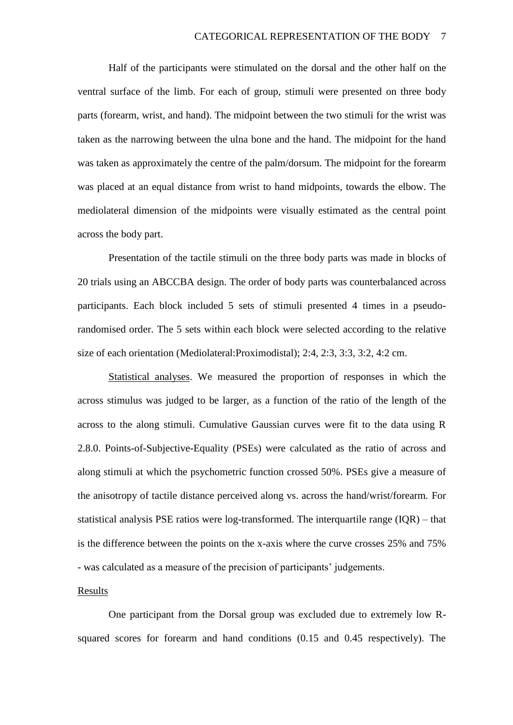Half of the participants were stimulated on the dorsal and the other half on the ventral surface of the limb. For each of group, stimuli were presented on three body parts (forearm, wrist, and hand). The midpoint between the two stimuli for the wrist was taken as the narrowing between the ulna bone and the hand. The midpoint for the hand was taken as approximately the centre of the palm/dorsum. The midpoint for the forearm was placed at an equal distance from wrist to hand midpoints, towards the elbow. The mediolateral dimension of the midpoints were visually estimated as the central point across the body part.

Presentation of the tactile stimuli on the three body parts was made in blocks of 20 trials using an ABCCBA design. The order of body parts was counterbalanced across participants. Each block included 5 sets of stimuli presented 4 times in a pseudorandomised order. The 5 sets within each block were selected according to the relative size of each orientation (Mediolateral:Proximodistal); 2:4, 2:3, 3:3, 3:2, 4:2 cm.

Statistical analyses. We measured the proportion of responses in which the across stimulus was judged to be larger, as a function of the ratio of the length of the across to the along stimuli. Cumulative Gaussian curves were fit to the data using R 2.8.0. Points-of-Subjective-Equality (PSEs) were calculated as the ratio of across and along stimuli at which the psychometric function crossed 50%. PSEs give a measure of the anisotropy of tactile distance perceived along vs. across the hand/wrist/forearm. For statistical analysis PSE ratios were log-transformed. The interquartile range (IQR) – that is the difference between the points on the x-axis where the curve crosses 25% and 75% - was calculated as a measure of the precision of participants' judgements.

#### Results

One participant from the Dorsal group was excluded due to extremely low Rsquared scores for forearm and hand conditions (0.15 and 0.45 respectively). The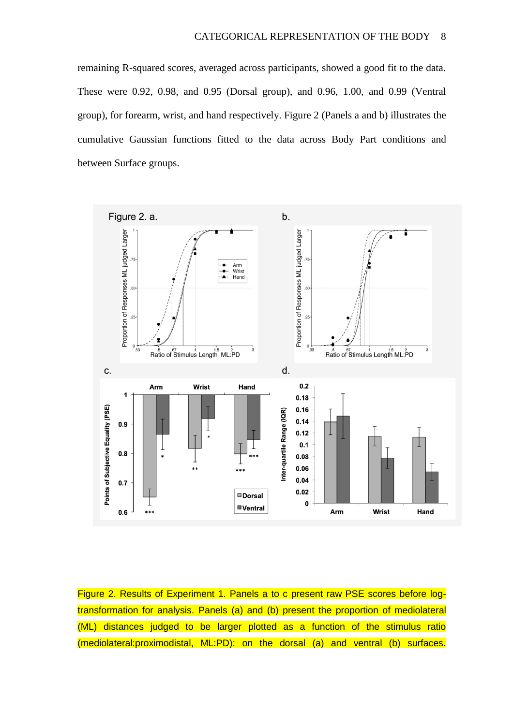remaining R-squared scores, averaged across participants, showed a good fit to the data. These were 0.92, 0.98, and 0.95 (Dorsal group), and 0.96, 1.00, and 0.99 (Ventral group), for forearm, wrist, and hand respectively. Figure 2 (Panels a and b) illustrates the cumulative Gaussian functions fitted to the data across Body Part conditions and between Surface groups.



Figure 2. Results of Experiment 1. Panels a to c present raw PSE scores before logtransformation for analysis. Panels (a) and (b) present the proportion of mediolateral (ML) distances judged to be larger plotted as a function of the stimulus ratio (mediolateral:proximodistal, ML:PD): on the dorsal (a) and ventral (b) surfaces.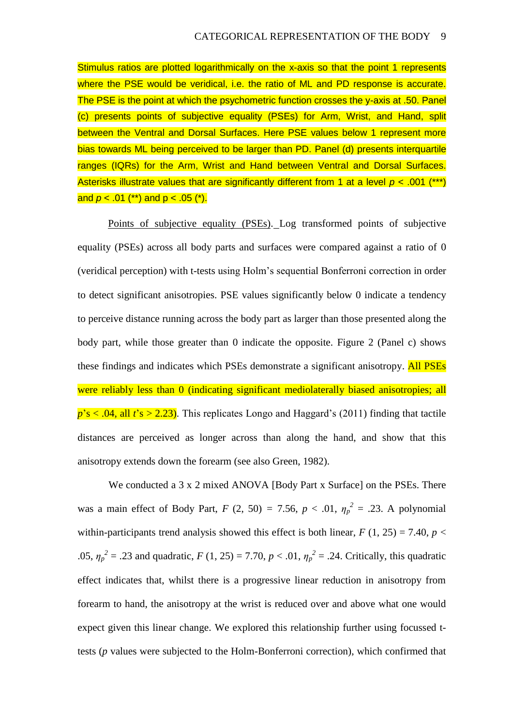Stimulus ratios are plotted logarithmically on the x-axis so that the point 1 represents where the PSE would be veridical, i.e. the ratio of ML and PD response is accurate. The PSE is the point at which the psychometric function crosses the y-axis at .50. Panel (c) presents points of subjective equality (PSEs) for Arm, Wrist, and Hand, split between the Ventral and Dorsal Surfaces. Here PSE values below 1 represent more bias towards ML being perceived to be larger than PD. Panel (d) presents interquartile ranges (IQRs) for the Arm, Wrist and Hand between Ventral and Dorsal Surfaces. Asterisks illustrate values that are significantly different from 1 at a level *p* < .001 (\*\*\*) and *p* < .01 (\*\*) and p < .05 (\*).

Points of subjective equality (PSEs). Log transformed points of subjective equality (PSEs) across all body parts and surfaces were compared against a ratio of 0 (veridical perception) with t-tests using Holm's sequential Bonferroni correction in order to detect significant anisotropies. PSE values significantly below 0 indicate a tendency to perceive distance running across the body part as larger than those presented along the body part, while those greater than 0 indicate the opposite. Figure 2 (Panel c) shows these findings and indicates which PSEs demonstrate a significant anisotropy. All PSEs were reliably less than 0 (indicating significant mediolaterally biased anisotropies; all  $p's < .04$ , all  $t's > 2.23$ ). This replicates Longo and Haggard's (2011) finding that tactile distances are perceived as longer across than along the hand, and show that this anisotropy extends down the forearm (see also Green, 1982).

We conducted a 3 x 2 mixed ANOVA [Body Part x Surface] on the PSEs. There was a main effect of Body Part,  $F$  (2, 50) = 7.56,  $p < .01$ ,  $\eta_p^2 = .23$ . A polynomial within-participants trend analysis showed this effect is both linear,  $F(1, 25) = 7.40$ ,  $p <$ .05,  $\eta_p^2 = .23$  and quadratic,  $F(1, 25) = 7.70$ ,  $p < .01$ ,  $\eta_p^2 = .24$ . Critically, this quadratic effect indicates that, whilst there is a progressive linear reduction in anisotropy from forearm to hand, the anisotropy at the wrist is reduced over and above what one would expect given this linear change. We explored this relationship further using focussed ttests (*p* values were subjected to the Holm-Bonferroni correction), which confirmed that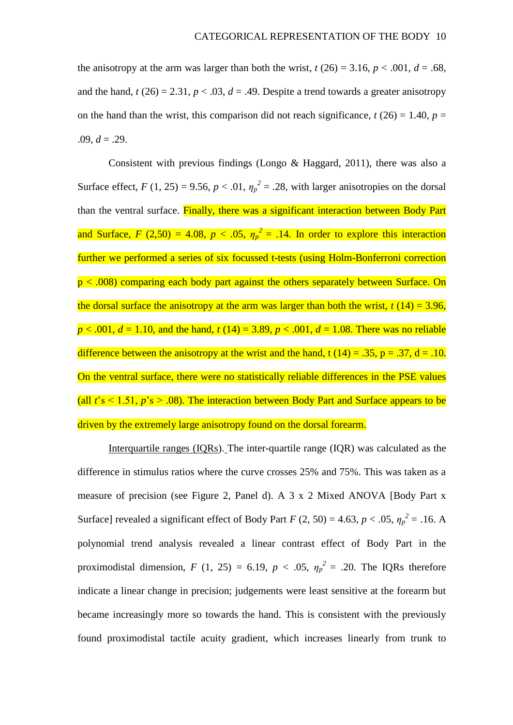the anisotropy at the arm was larger than both the wrist,  $t(26) = 3.16$ ,  $p < .001$ ,  $d = .68$ , and the hand,  $t(26) = 2.31$ ,  $p < .03$ ,  $d = .49$ . Despite a trend towards a greater anisotropy on the hand than the wrist, this comparison did not reach significance,  $t(26) = 1.40$ ,  $p =$  $.09, d = .29.$ 

Consistent with previous findings (Longo & Haggard, 2011), there was also a Surface effect,  $F(1, 25) = 9.56$ ,  $p < .01$ ,  $\eta_p^2 = .28$ , with larger anisotropies on the dorsal than the ventral surface. Finally, there was a significant interaction between Body Part and Surface,  $F(2,50) = 4.08$ ,  $p < .05$ ,  $\eta_p^2 = .14$ . In order to explore this interaction further we performed a series of six focussed t-tests (using Holm-Bonferroni correction  $p < .008$ ) comparing each body part against the others separately between Surface. On the dorsal surface the anisotropy at the arm was larger than both the wrist,  $t(14) = 3.96$ ,  $p < .001$ ,  $d = 1.10$ , and the hand,  $t(14) = 3.89$ ,  $p < .001$ ,  $d = 1.08$ . There was no reliable difference between the anisotropy at the wrist and the hand, t (14) = .35, p = .37, d = .10. On the ventral surface, there were no statistically reliable differences in the PSE values (all  $t's \le 1.51$ ,  $p's > .08$ ). The interaction between Body Part and Surface appears to be driven by the extremely large anisotropy found on the dorsal forearm.

Interquartile ranges (IQRs). The inter-quartile range (IQR) was calculated as the difference in stimulus ratios where the curve crosses 25% and 75%. This was taken as a measure of precision (see Figure 2, Panel d). A 3 x 2 Mixed ANOVA [Body Part x Surface] revealed a significant effect of Body Part *F* (2, 50) = 4.63, *p* < .05,  $\eta_p^2$  = .16. A polynomial trend analysis revealed a linear contrast effect of Body Part in the proximodistal dimension,  $F (1, 25) = 6.19$ ,  $p < .05$ ,  $\eta_p^2 = .20$ . The IQRs therefore indicate a linear change in precision; judgements were least sensitive at the forearm but became increasingly more so towards the hand. This is consistent with the previously found proximodistal tactile acuity gradient, which increases linearly from trunk to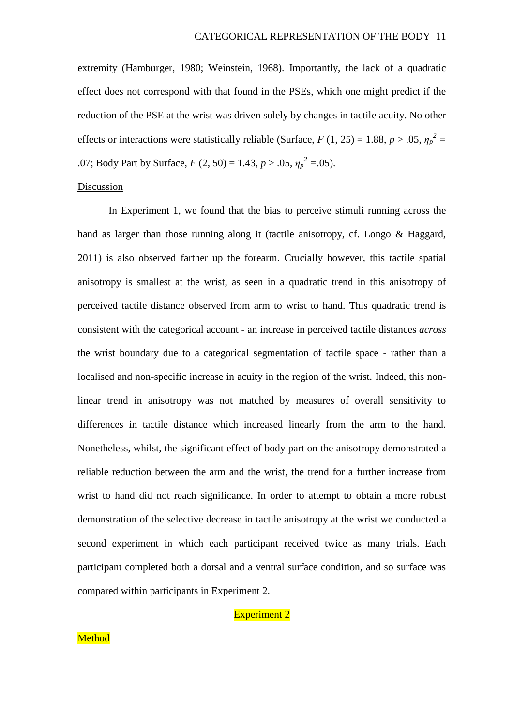extremity (Hamburger, 1980; Weinstein, 1968). Importantly, the lack of a quadratic effect does not correspond with that found in the PSEs, which one might predict if the reduction of the PSE at the wrist was driven solely by changes in tactile acuity. No other effects or interactions were statistically reliable (Surface,  $F(1, 25) = 1.88$ ,  $p > .05$ ,  $\eta_p^2 =$ .07; Body Part by Surface,  $F(2, 50) = 1.43, p > .05, \eta_p^2 = .05$ .

# Discussion

In Experiment 1, we found that the bias to perceive stimuli running across the hand as larger than those running along it (tactile anisotropy, cf. Longo & Haggard, 2011) is also observed farther up the forearm. Crucially however, this tactile spatial anisotropy is smallest at the wrist, as seen in a quadratic trend in this anisotropy of perceived tactile distance observed from arm to wrist to hand. This quadratic trend is consistent with the categorical account - an increase in perceived tactile distances *across* the wrist boundary due to a categorical segmentation of tactile space - rather than a localised and non-specific increase in acuity in the region of the wrist. Indeed, this nonlinear trend in anisotropy was not matched by measures of overall sensitivity to differences in tactile distance which increased linearly from the arm to the hand. Nonetheless, whilst, the significant effect of body part on the anisotropy demonstrated a reliable reduction between the arm and the wrist, the trend for a further increase from wrist to hand did not reach significance. In order to attempt to obtain a more robust demonstration of the selective decrease in tactile anisotropy at the wrist we conducted a second experiment in which each participant received twice as many trials. Each participant completed both a dorsal and a ventral surface condition, and so surface was compared within participants in Experiment 2.

# Experiment 2

# **Method**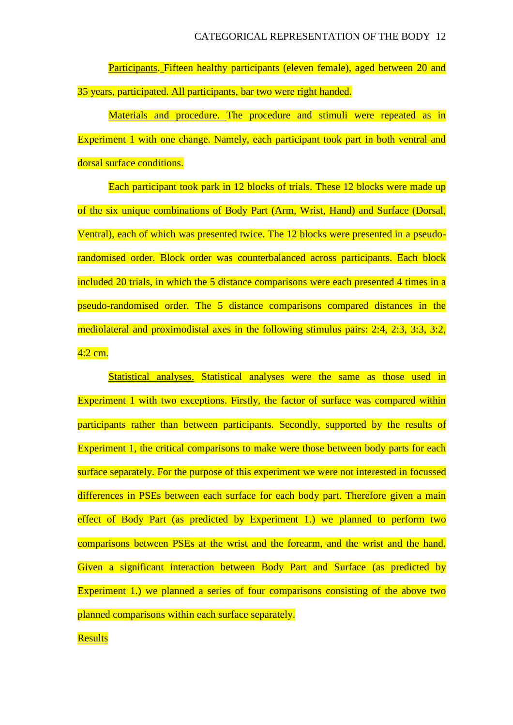Participants. Fifteen healthy participants (eleven female), aged between 20 and 35 years, participated. All participants, bar two were right handed.

Materials and procedure. The procedure and stimuli were repeated as in Experiment 1 with one change. Namely, each participant took part in both ventral and dorsal surface conditions.

Each participant took park in 12 blocks of trials. These 12 blocks were made up of the six unique combinations of Body Part (Arm, Wrist, Hand) and Surface (Dorsal, Ventral), each of which was presented twice. The 12 blocks were presented in a pseudorandomised order. Block order was counterbalanced across participants. Each block included 20 trials, in which the 5 distance comparisons were each presented 4 times in a pseudo-randomised order. The 5 distance comparisons compared distances in the mediolateral and proximodistal axes in the following stimulus pairs: 2:4, 2:3, 3:3, 3:2,  $4:2$  cm.

Statistical analyses. Statistical analyses were the same as those used in Experiment 1 with two exceptions. Firstly, the factor of surface was compared within participants rather than between participants. Secondly, supported by the results of Experiment 1, the critical comparisons to make were those between body parts for each surface separately. For the purpose of this experiment we were not interested in focussed differences in PSEs between each surface for each body part. Therefore given a main effect of Body Part (as predicted by Experiment 1.) we planned to perform two comparisons between PSEs at the wrist and the forearm, and the wrist and the hand. Given a significant interaction between Body Part and Surface (as predicted by Experiment 1.) we planned a series of four comparisons consisting of the above two planned comparisons within each surface separately.

### **Results**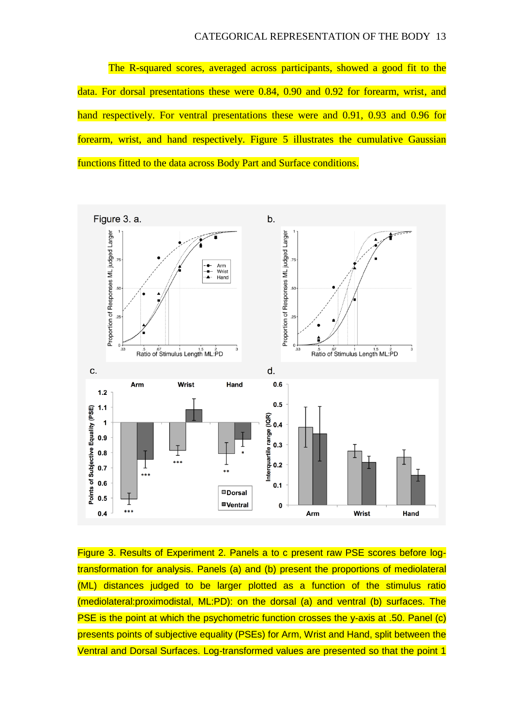The R-squared scores, averaged across participants, showed a good fit to the data. For dorsal presentations these were 0.84, 0.90 and 0.92 for forearm, wrist, and hand respectively. For ventral presentations these were and 0.91, 0.93 and 0.96 for forearm, wrist, and hand respectively. Figure 5 illustrates the cumulative Gaussian functions fitted to the data across Body Part and Surface conditions.



Figure 3. Results of Experiment 2. Panels a to c present raw PSE scores before logtransformation for analysis. Panels (a) and (b) present the proportions of mediolateral (ML) distances judged to be larger plotted as a function of the stimulus ratio (mediolateral:proximodistal, ML:PD): on the dorsal (a) and ventral (b) surfaces. The PSE is the point at which the psychometric function crosses the y-axis at .50. Panel (c) presents points of subjective equality (PSEs) for Arm, Wrist and Hand, split between the Ventral and Dorsal Surfaces. Log-transformed values are presented so that the point 1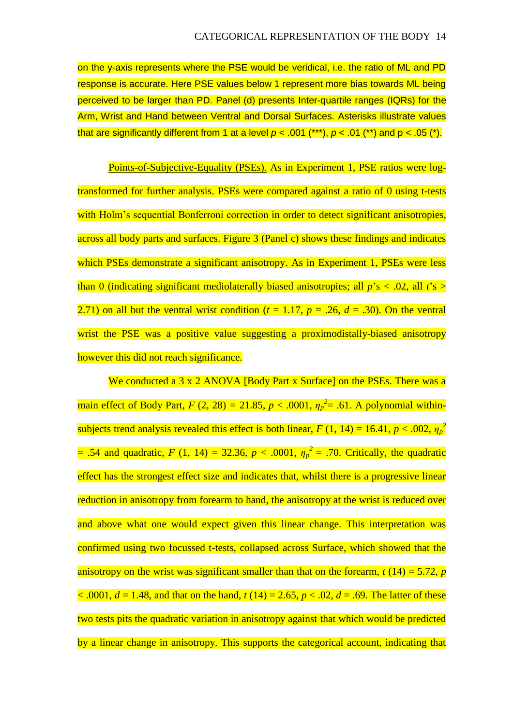on the y-axis represents where the PSE would be veridical, i.e. the ratio of ML and PD response is accurate. Here PSE values below 1 represent more bias towards ML being perceived to be larger than PD. Panel (d) presents Inter-quartile ranges (IQRs) for the Arm, Wrist and Hand between Ventral and Dorsal Surfaces. Asterisks illustrate values that are significantly different from 1 at a level  $p < .001$  (\*\*\*),  $p < .01$  (\*\*) and  $p < .05$  (\*).

Points-of-Subjective-Equality (PSEs). As in Experiment 1, PSE ratios were logtransformed for further analysis. PSEs were compared against a ratio of 0 using t-tests with Holm's sequential Bonferroni correction in order to detect significant anisotropies, across all body parts and surfaces. Figure 3 (Panel c) shows these findings and indicates which PSEs demonstrate a significant anisotropy. As in Experiment 1, PSEs were less than 0 (indicating significant mediolaterally biased anisotropies; all *p*'s < .02, all *t*'s > 2.71) on all but the ventral wrist condition ( $t = 1.17$ ,  $p = .26$ ,  $d = .30$ ). On the ventral wrist the PSE was a positive value suggesting a proximodistally-biased anisotropy however this did not reach significance.

We conducted a 3 x 2 ANOVA [Body Part x Surface] on the PSEs. There was a main effect of Body Part,  $F (2, 28) = 21.85$ ,  $p < .0001$ ,  $\eta_p^2 = .61$ . A polynomial withinsubjects trend analysis revealed this effect is both linear,  $F(1, 14) = 16.41$ ,  $p < .002$ ,  $\eta_p^2$  $= .54$  and quadratic,  $F (1, 14) = 32.36$ ,  $p < .0001$ ,  $\eta_p^2 = .70$ . Critically, the quadratic effect has the strongest effect size and indicates that, whilst there is a progressive linear reduction in anisotropy from forearm to hand, the anisotropy at the wrist is reduced over and above what one would expect given this linear change. This interpretation was confirmed using two focussed t-tests, collapsed across Surface, which showed that the anisotropy on the wrist was significant smaller than that on the forearm,  $t(14) = 5.72$ , *p*  $\leq$  .0001,  $d = 1.48$ , and that on the hand,  $t(14) = 2.65$ ,  $p < .02$ ,  $d = .69$ . The latter of these two tests pits the quadratic variation in anisotropy against that which would be predicted by a linear change in anisotropy. This supports the categorical account, indicating that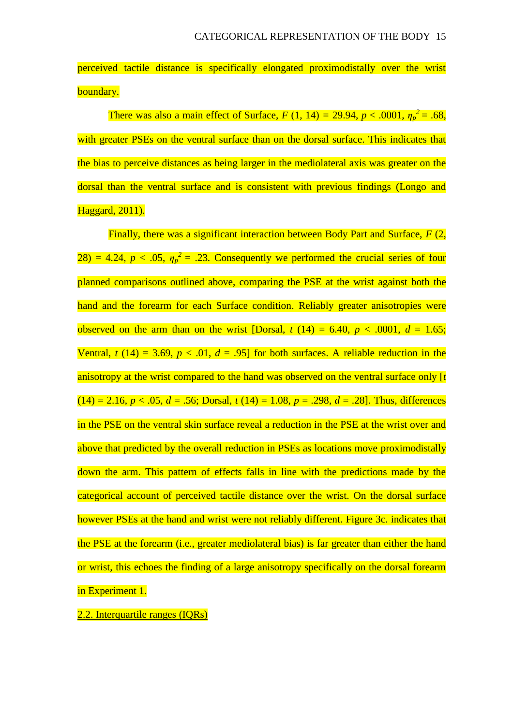perceived tactile distance is specifically elongated proximodistally over the wrist boundary.

There was also a main effect of Surface,  $F(1, 14) = 29.94, p < .0001, \eta_p^2 = .68$ , with greater PSEs on the ventral surface than on the dorsal surface. This indicates that the bias to perceive distances as being larger in the mediolateral axis was greater on the dorsal than the ventral surface and is consistent with previous findings (Longo and Haggard, 2011).

Finally, there was a significant interaction between Body Part and Surface, *F* (2,  $28) = 4.24$ ,  $p < .05$ ,  $\eta_p^2 = .23$ . Consequently we performed the crucial series of four planned comparisons outlined above, comparing the PSE at the wrist against both the hand and the forearm for each Surface condition. Reliably greater anisotropies were observed on the arm than on the wrist [Dorsal,  $t(14) = 6.40$ ,  $p < .0001$ ,  $d = 1.65$ ; Ventral,  $t(14) = 3.69$ ,  $p < .01$ ,  $d = .95$  for both surfaces. A reliable reduction in the anisotropy at the wrist compared to the hand was observed on the ventral surface only [*t*  $(14) = 2.16, p < .05, d = .56$ ; Dorsal,  $t(14) = 1.08, p = .298, d = .28$ ]. Thus, differences in the PSE on the ventral skin surface reveal a reduction in the PSE at the wrist over and above that predicted by the overall reduction in PSEs as locations move proximodistally down the arm. This pattern of effects falls in line with the predictions made by the categorical account of perceived tactile distance over the wrist. On the dorsal surface however PSEs at the hand and wrist were not reliably different. Figure 3c. indicates that the PSE at the forearm (i.e., greater mediolateral bias) is far greater than either the hand or wrist, this echoes the finding of a large anisotropy specifically on the dorsal forearm in Experiment 1.

2.2. Interquartile ranges (IQRs)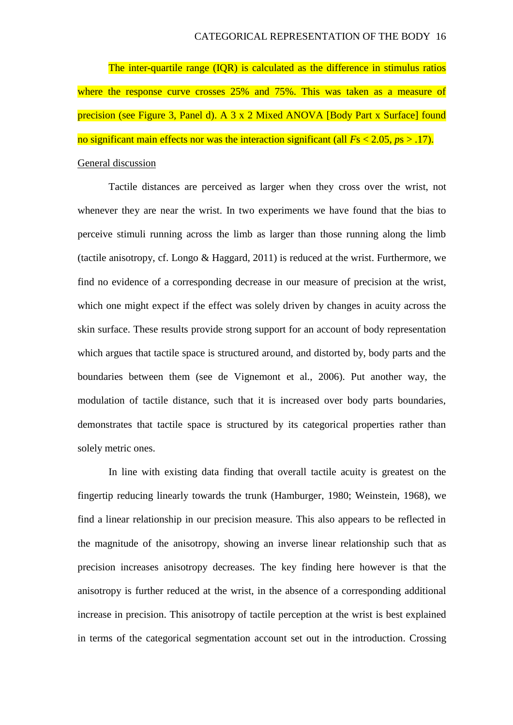The inter-quartile range (IQR) is calculated as the difference in stimulus ratios where the response curve crosses 25% and 75%. This was taken as a measure of precision (see Figure 3, Panel d). A 3 x 2 Mixed ANOVA [Body Part x Surface] found no significant main effects nor was the interaction significant (all *F*s < 2.05, *p*s > .17). General discussion

Tactile distances are perceived as larger when they cross over the wrist, not whenever they are near the wrist. In two experiments we have found that the bias to perceive stimuli running across the limb as larger than those running along the limb (tactile anisotropy, cf. Longo & Haggard, 2011) is reduced at the wrist. Furthermore, we find no evidence of a corresponding decrease in our measure of precision at the wrist, which one might expect if the effect was solely driven by changes in acuity across the skin surface. These results provide strong support for an account of body representation which argues that tactile space is structured around, and distorted by, body parts and the boundaries between them (see de Vignemont et al., 2006). Put another way, the modulation of tactile distance, such that it is increased over body parts boundaries, demonstrates that tactile space is structured by its categorical properties rather than solely metric ones.

In line with existing data finding that overall tactile acuity is greatest on the fingertip reducing linearly towards the trunk (Hamburger, 1980; Weinstein, 1968), we find a linear relationship in our precision measure. This also appears to be reflected in the magnitude of the anisotropy, showing an inverse linear relationship such that as precision increases anisotropy decreases. The key finding here however is that the anisotropy is further reduced at the wrist, in the absence of a corresponding additional increase in precision. This anisotropy of tactile perception at the wrist is best explained in terms of the categorical segmentation account set out in the introduction. Crossing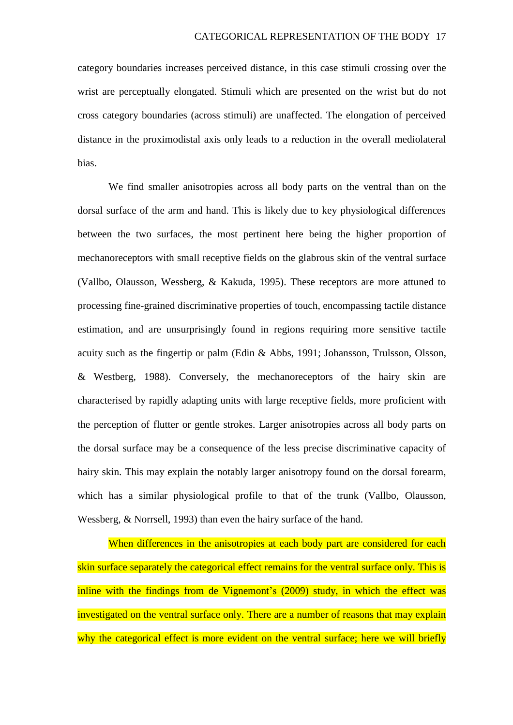category boundaries increases perceived distance, in this case stimuli crossing over the wrist are perceptually elongated. Stimuli which are presented on the wrist but do not cross category boundaries (across stimuli) are unaffected. The elongation of perceived distance in the proximodistal axis only leads to a reduction in the overall mediolateral bias.

We find smaller anisotropies across all body parts on the ventral than on the dorsal surface of the arm and hand. This is likely due to key physiological differences between the two surfaces, the most pertinent here being the higher proportion of mechanoreceptors with small receptive fields on the glabrous skin of the ventral surface (Vallbo, Olausson, Wessberg, & Kakuda, 1995). These receptors are more attuned to processing fine-grained discriminative properties of touch, encompassing tactile distance estimation, and are unsurprisingly found in regions requiring more sensitive tactile acuity such as the fingertip or palm (Edin & Abbs, 1991; Johansson, Trulsson, Olsson, & Westberg, 1988). Conversely, the mechanoreceptors of the hairy skin are characterised by rapidly adapting units with large receptive fields, more proficient with the perception of flutter or gentle strokes. Larger anisotropies across all body parts on the dorsal surface may be a consequence of the less precise discriminative capacity of hairy skin. This may explain the notably larger anisotropy found on the dorsal forearm, which has a similar physiological profile to that of the trunk (Vallbo, Olausson, Wessberg, & Norrsell, 1993) than even the hairy surface of the hand.

When differences in the anisotropies at each body part are considered for each skin surface separately the categorical effect remains for the ventral surface only. This is inline with the findings from de Vignemont's (2009) study, in which the effect was investigated on the ventral surface only. There are a number of reasons that may explain why the categorical effect is more evident on the ventral surface; here we will briefly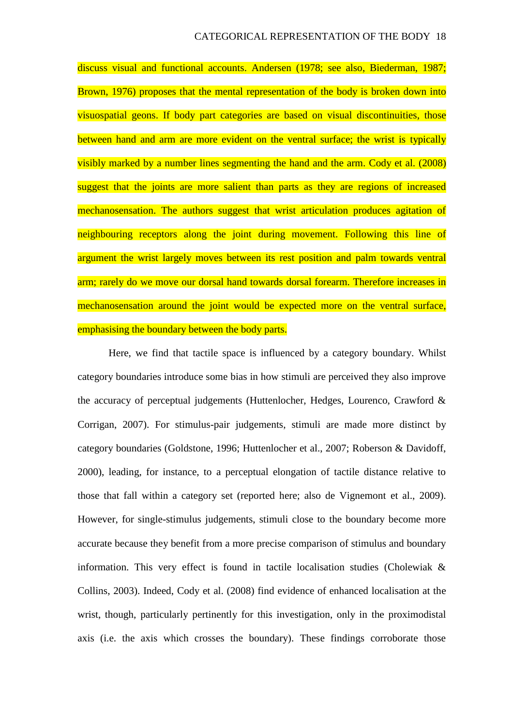discuss visual and functional accounts. Andersen (1978; see also, Biederman, 1987; Brown, 1976) proposes that the mental representation of the body is broken down into visuospatial geons. If body part categories are based on visual discontinuities, those between hand and arm are more evident on the ventral surface; the wrist is typically visibly marked by a number lines segmenting the hand and the arm. Cody et al. (2008) suggest that the joints are more salient than parts as they are regions of increased mechanosensation. The authors suggest that wrist articulation produces agitation of neighbouring receptors along the joint during movement. Following this line of argument the wrist largely moves between its rest position and palm towards ventral arm; rarely do we move our dorsal hand towards dorsal forearm. Therefore increases in mechanosensation around the joint would be expected more on the ventral surface, emphasising the boundary between the body parts.

Here, we find that tactile space is influenced by a category boundary. Whilst category boundaries introduce some bias in how stimuli are perceived they also improve the accuracy of perceptual judgements (Huttenlocher, Hedges, Lourenco, Crawford & Corrigan, 2007). For stimulus-pair judgements, stimuli are made more distinct by category boundaries (Goldstone, 1996; Huttenlocher et al., 2007; Roberson & Davidoff, 2000), leading, for instance, to a perceptual elongation of tactile distance relative to those that fall within a category set (reported here; also de Vignemont et al., 2009). However, for single-stimulus judgements, stimuli close to the boundary become more accurate because they benefit from a more precise comparison of stimulus and boundary information. This very effect is found in tactile localisation studies (Cholewiak & Collins, 2003). Indeed, Cody et al. (2008) find evidence of enhanced localisation at the wrist, though, particularly pertinently for this investigation, only in the proximodistal axis (i.e. the axis which crosses the boundary). These findings corroborate those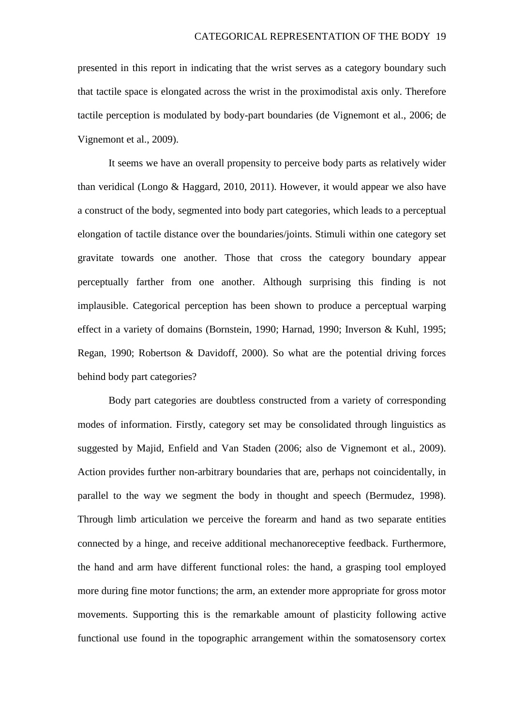presented in this report in indicating that the wrist serves as a category boundary such that tactile space is elongated across the wrist in the proximodistal axis only. Therefore tactile perception is modulated by body-part boundaries (de Vignemont et al., 2006; de Vignemont et al., 2009).

It seems we have an overall propensity to perceive body parts as relatively wider than veridical (Longo & Haggard, 2010, 2011). However, it would appear we also have a construct of the body, segmented into body part categories, which leads to a perceptual elongation of tactile distance over the boundaries/joints. Stimuli within one category set gravitate towards one another. Those that cross the category boundary appear perceptually farther from one another. Although surprising this finding is not implausible. Categorical perception has been shown to produce a perceptual warping effect in a variety of domains (Bornstein, 1990; Harnad, 1990; Inverson & Kuhl, 1995; Regan, 1990; Robertson & Davidoff, 2000). So what are the potential driving forces behind body part categories?

Body part categories are doubtless constructed from a variety of corresponding modes of information. Firstly, category set may be consolidated through linguistics as suggested by Majid, Enfield and Van Staden (2006; also de Vignemont et al., 2009). Action provides further non-arbitrary boundaries that are, perhaps not coincidentally, in parallel to the way we segment the body in thought and speech (Bermudez, 1998). Through limb articulation we perceive the forearm and hand as two separate entities connected by a hinge, and receive additional mechanoreceptive feedback. Furthermore, the hand and arm have different functional roles: the hand, a grasping tool employed more during fine motor functions; the arm, an extender more appropriate for gross motor movements. Supporting this is the remarkable amount of plasticity following active functional use found in the topographic arrangement within the somatosensory cortex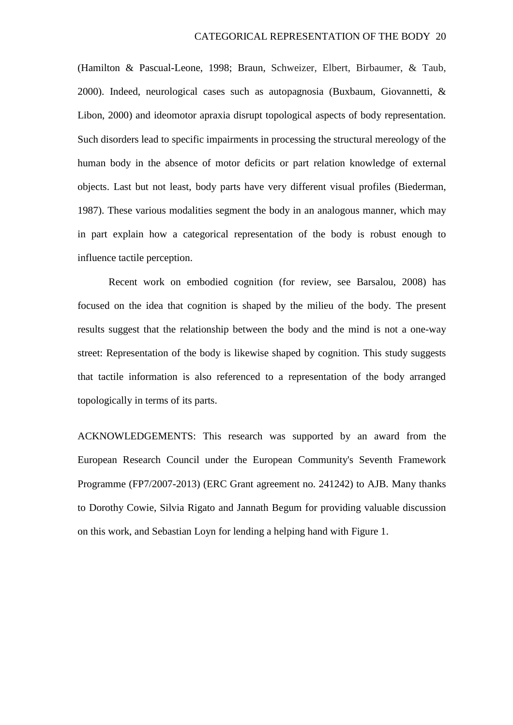(Hamilton & Pascual-Leone, 1998; Braun, Schweizer, Elbert, Birbaumer, & Taub, 2000). Indeed, neurological cases such as autopagnosia (Buxbaum, Giovannetti, & Libon, 2000) and ideomotor apraxia disrupt topological aspects of body representation. Such disorders lead to specific impairments in processing the structural mereology of the human body in the absence of motor deficits or part relation knowledge of external objects. Last but not least, body parts have very different visual profiles (Biederman, 1987). These various modalities segment the body in an analogous manner, which may in part explain how a categorical representation of the body is robust enough to influence tactile perception.

Recent work on embodied cognition (for review, see Barsalou, 2008) has focused on the idea that cognition is shaped by the milieu of the body. The present results suggest that the relationship between the body and the mind is not a one-way street: Representation of the body is likewise shaped by cognition. This study suggests that tactile information is also referenced to a representation of the body arranged topologically in terms of its parts.

ACKNOWLEDGEMENTS: This research was supported by an award from the European Research Council under the European Community's Seventh Framework Programme (FP7/2007-2013) (ERC Grant agreement no. 241242) to AJB. Many thanks to Dorothy Cowie, Silvia Rigato and Jannath Begum for providing valuable discussion on this work, and Sebastian Loyn for lending a helping hand with Figure 1.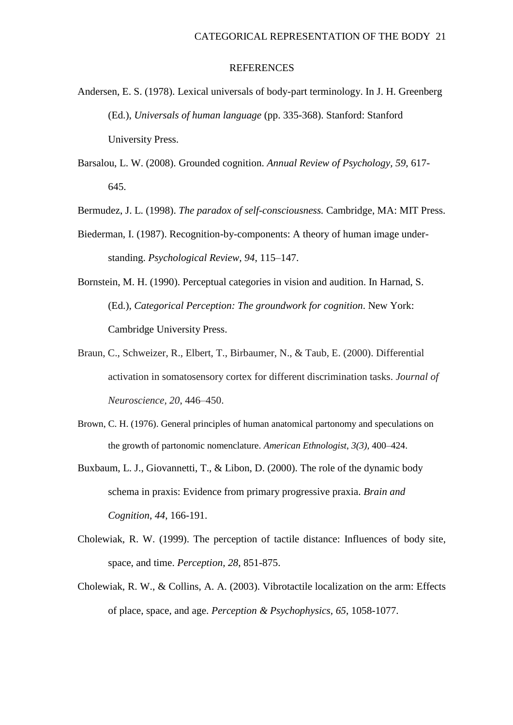#### **REFERENCES**

- Andersen, E. S. (1978). Lexical universals of body-part terminology. In J. H. Greenberg (Ed.), *Universals of human language* (pp. 335-368). Stanford: Stanford University Press.
- Barsalou, L. W. (2008). Grounded cognition. *Annual Review of Psychology, 59,* 617- 645.
- Bermudez, J. L. (1998). *The paradox of self-consciousness.* Cambridge, MA: MIT Press.
- Biederman, I. (1987). Recognition-by-components: A theory of human image understanding. *Psychological Review, 94*, 115–147.
- Bornstein, M. H. (1990). Perceptual categories in vision and audition. In Harnad, S. (Ed.), *Categorical Perception: The groundwork for cognition*. New York: Cambridge University Press.
- Braun, C., Schweizer, R., Elbert, T., Birbaumer, N., & Taub, E. (2000). Differential activation in somatosensory cortex for different discrimination tasks. *Journal of Neuroscience, 20*, 446–450.
- Brown, C. H. (1976). General principles of human anatomical partonomy and speculations on the growth of partonomic nomenclature. *American Ethnologist*, *3(3),* 400–424.
- Buxbaum, L. J., Giovannetti, T., & Libon, D. (2000). The role of the dynamic body schema in praxis: Evidence from primary progressive praxia. *Brain and Cognition*, *44*, 166-191.
- Cholewiak, R. W. (1999). The perception of tactile distance: Influences of body site, space, and time. *Perception, 28*, 851-875.
- Cholewiak, R. W., & Collins, A. A. (2003). Vibrotactile localization on the arm: Effects of place, space, and age. *Perception & Psychophysics, 65*, 1058-1077.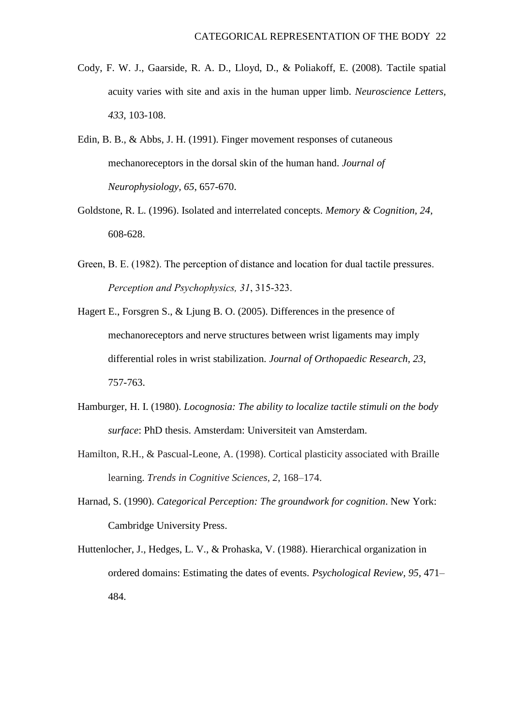- Cody, F. W. J., Gaarside, R. A. D., Lloyd, D., & Poliakoff, E. (2008). Tactile spatial acuity varies with site and axis in the human upper limb. *Neuroscience Letters, 433*, 103-108.
- Edin, B. B., & Abbs, J. H. (1991). Finger movement responses of cutaneous mechanoreceptors in the dorsal skin of the human hand. *Journal of Neurophysiology, 65*, 657-670.
- Goldstone, R. L. (1996). Isolated and interrelated concepts. *Memory & Cognition, 24,* 608-628.
- Green, B. E. (1982). The perception of distance and location for dual tactile pressures. *Perception and Psychophysics, 31*, 315-323.
- Hagert E., Forsgren S., & Ljung B. O. (2005). Differences in the presence of mechanoreceptors and nerve structures between wrist ligaments may imply differential roles in wrist stabilization. *Journal of Orthopaedic Research, 23*, 757-763.
- Hamburger, H. I. (1980). *Locognosia: The ability to localize tactile stimuli on the body surface*: PhD thesis. Amsterdam: Universiteit van Amsterdam.
- Hamilton, R.H., & Pascual-Leone, A. (1998). Cortical plasticity associated with Braille learning. *Trends in Cognitive Sciences, 2*, 168–174.
- Harnad, S. (1990). *Categorical Perception: The groundwork for cognition*. New York: Cambridge University Press.
- Huttenlocher, J., Hedges, L. V., & Prohaska, V. (1988). Hierarchical organization in ordered domains: Estimating the dates of events. *Psychological Review, 95,* 471– 484.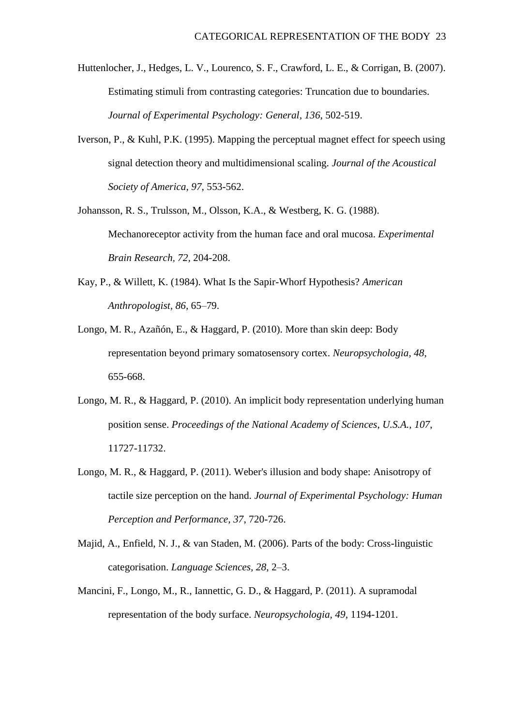Huttenlocher, J., Hedges, L. V., Lourenco, S. F., Crawford, L. E., & Corrigan, B. (2007). Estimating stimuli from contrasting categories: Truncation due to boundaries. *Journal of Experimental Psychology: General, 136,* 502-519.

- Iverson, P., & Kuhl, P.K. (1995). Mapping the perceptual magnet effect for speech using signal detection theory and multidimensional scaling. *Journal of the Acoustical Society of America, 97*, 553-562.
- Johansson, R. S., Trulsson, M., Olsson, K.A., & Westberg, K. G. (1988). Mechanoreceptor activity from the human face and oral mucosa. *Experimental Brain Research, 72,* 204-208.
- Kay, P., & Willett, K. (1984). What Is the Sapir-Whorf Hypothesis? *American Anthropologist, 86,* 65–79.
- Longo, M. R., Azañón, E., & Haggard, P. (2010). More than skin deep: Body representation beyond primary somatosensory cortex. *Neuropsychologia, 48*, 655-668.
- Longo, M. R., & Haggard, P. (2010). An implicit body representation underlying human position sense. *Proceedings of the National Academy of Sciences*, *U.S.A., 107*, 11727-11732.
- Longo, M. R., & Haggard, P. (2011). Weber's illusion and body shape: Anisotropy of tactile size perception on the hand. *Journal of Experimental Psychology: Human Perception and Performance, 37*, 720-726.
- Majid, A., Enfield, N. J., & van Staden, M. (2006). Parts of the body: Cross-linguistic categorisation. *Language Sciences, 28*, 2–3.
- Mancini, F., Longo, M., R., Iannettic, G. D., & Haggard, P. (2011). A supramodal representation of the body surface. *Neuropsychologia, 49*, 1194-1201.